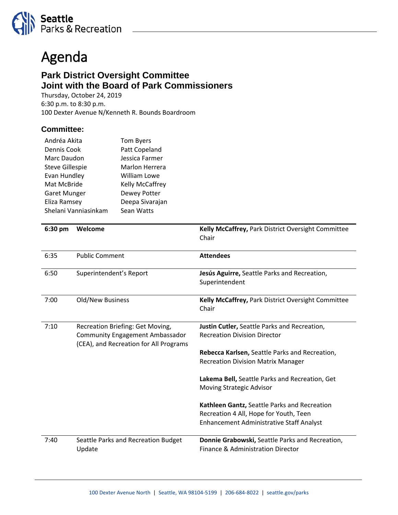

## Agenda

## **Park District Oversight Committee Joint with the Board of Park Commissioners**

Thursday, October 24, 2019 6:30 p.m. to 8:30 p.m. 100 Dexter Avenue N/Kenneth R. Bounds Boardroom

## **Committee:**

| Andréa Akita           | <b>Tom Byers</b> |
|------------------------|------------------|
| Dennis Cook            | Patt Copeland    |
| Marc Daudon            | Jessica Farmer   |
| <b>Steve Gillespie</b> | Marlon Herrera   |
| Evan Hundley           | William Lowe     |
| Mat McBride            | Kelly McCaffrey  |
| Garet Munger           | Dewey Potter     |
| Eliza Ramsey           | Deepa Sivarajan  |
| Shelani Vanniasinkam   | Sean Watts       |

| 6:30 pm | Welcome                                                                                                              | Kelly McCaffrey, Park District Oversight Committee<br>Chair                                                                        |
|---------|----------------------------------------------------------------------------------------------------------------------|------------------------------------------------------------------------------------------------------------------------------------|
| 6:35    | <b>Public Comment</b>                                                                                                | <b>Attendees</b>                                                                                                                   |
| 6:50    | Superintendent's Report                                                                                              | Jesús Aguirre, Seattle Parks and Recreation,<br>Superintendent                                                                     |
| 7:00    | <b>Old/New Business</b>                                                                                              | Kelly McCaffrey, Park District Oversight Committee<br>Chair                                                                        |
| 7:10    | Recreation Briefing: Get Moving,<br><b>Community Engagement Ambassador</b><br>(CEA), and Recreation for All Programs | Justin Cutler, Seattle Parks and Recreation,<br><b>Recreation Division Director</b>                                                |
|         |                                                                                                                      | Rebecca Karlsen, Seattle Parks and Recreation,<br><b>Recreation Division Matrix Manager</b>                                        |
|         |                                                                                                                      | Lakema Bell, Seattle Parks and Recreation, Get<br>Moving Strategic Advisor                                                         |
|         |                                                                                                                      | Kathleen Gantz, Seattle Parks and Recreation<br>Recreation 4 All, Hope for Youth, Teen<br>Enhancement Administrative Staff Analyst |
| 7:40    | Seattle Parks and Recreation Budget<br>Update                                                                        | Donnie Grabowski, Seattle Parks and Recreation,<br>Finance & Administration Director                                               |